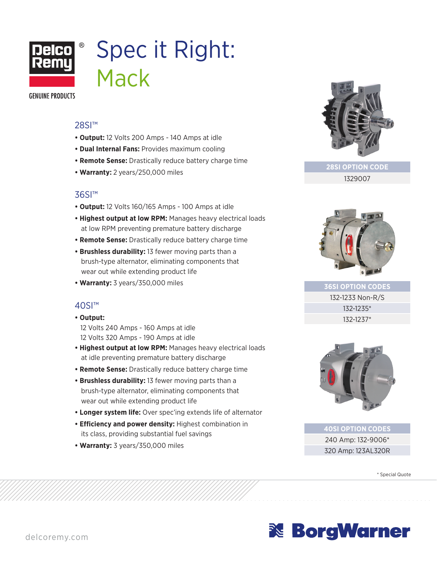

# Spec it Right: Mack

**GENUINE PRODUCTS** 

### 28SI<sup>™</sup>

- **Output:** 12 Volts 200 Amps 140 Amps at idle
- **Dual Internal Fans:** Provides maximum cooling
- **Remote Sense:** Drastically reduce battery charge time
- **Warranty:** 2 years/250,000 miles

## 36SI™

- **Output:** 12 Volts 160/165 Amps 100 Amps at idle
- **Highest output at low RPM:** Manages heavy electrical loads at low RPM preventing premature battery discharge
- **Remote Sense:** Drastically reduce battery charge time
- **Brushless durability:** 13 fewer moving parts than a brush-type alternator, eliminating components that wear out while extending product life
- **Warranty:** 3 years/350,000 miles

### 40SI™

- **Output:**
	- 12 Volts 240 Amps 160 Amps at idle 12 Volts 320 Amps - 190 Amps at idle
- **Highest output at low RPM:** Manages heavy electrical loads at idle preventing premature battery discharge
- **Remote Sense:** Drastically reduce battery charge time
- **Brushless durability:** 13 fewer moving parts than a brush-type alternator, eliminating components that wear out while extending product life
- **Longer system life:** Over spec'ing extends life of alternator
- **Efficiency and power density:** Highest combination in its class, providing substantial fuel savings
- **Warranty:** 3 years/350,000 miles



**28SI OPTION CODE** 1329007



**36SI OPTION CODES** 132-1233 Non-R/S 132-1235\* 132-1237\*



**40SI OPTION CODES** 240 Amp: 132-9006\* 320 Amp: 123AL320R

\* Special Quote